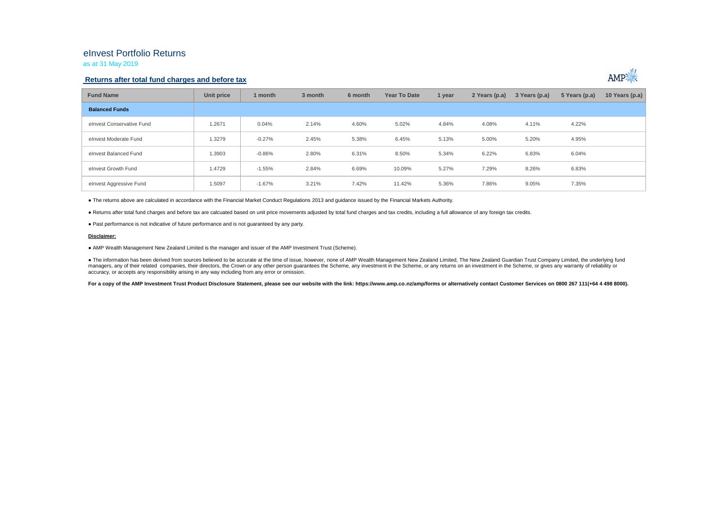## eInvest Portfolio Returns

as at 31 May 2019

### **Returns after total fund charges and before tax**



| <b>Fund Name</b>          | Unit price | 1 month  | 3 month | 6 month | <b>Year To Date</b> | 1 year | 2 Years (p.a) | 3 Years (p.a) | 5 Years (p.a) | 10 Years (p.a) |
|---------------------------|------------|----------|---------|---------|---------------------|--------|---------------|---------------|---------------|----------------|
| <b>Balanced Funds</b>     |            |          |         |         |                     |        |               |               |               |                |
| elnvest Conservative Fund | 1.2671     | 0.04%    | 2.14%   | 4.60%   | 5.02%               | 4.84%  | 4.08%         | 4.11%         | 4.22%         |                |
| elnvest Moderate Fund     | 1.3279     | $-0.27%$ | 2.45%   | 5.38%   | 6.45%               | 5.13%  | 5.00%         | 5.20%         | 4.95%         |                |
| elnvest Balanced Fund     | 1.3903     | $-0.86%$ | 2.80%   | 6.31%   | 8.50%               | 5.34%  | 6.22%         | 6.83%         | 6.04%         |                |
| elnvest Growth Fund       | 1.4729     | $-1.55%$ | 2.84%   | 6.69%   | 10.09%              | 5.27%  | 7.29%         | 8.26%         | 6.83%         |                |
| elnvest Aggressive Fund   | 1.5097     | $-1.67%$ | 3.21%   | 7.42%   | 11.42%              | 5.36%  | 7.86%         | 9.05%         | 7.35%         |                |

● The returns above are calculated in accordance with the Financial Market Conduct Regulations 2013 and guidance issued by the Financial Markets Authority.

● Returns after total fund charges and before tax are calcuated based on unit price movements adjusted by total fund charges and tax credits, including a full allowance of any foreign tax credits.

● Past performance is not indicative of future performance and is not guaranteed by any party.

#### **Disclaimer:**

● AMP Wealth Management New Zealand Limited is the manager and issuer of the AMP Investment Trust (Scheme).

● The information has been derived from sources believed to be accurate at the time of issue, however, none of AMP Wealth Management New Zealand Limited, The New Zealand Guardian Trust Company Limited, the underlying fund managers, any of their related companies, their directors, the Crown or any other person quarantees the Scheme, any investment in the Scheme, or any returns on an investment in the Scheme, or qives any warranty of reliabil accuracy, or accepts any responsibility arising in any way including from any error or omission.

For a copy of the AMP Investment Trust Product Disclosure Statement, please see our website with the link: https://www.amp.co.nz/amp/forms or alternatively contact Customer Services on 0800 267 111(+64 4 498 8000).